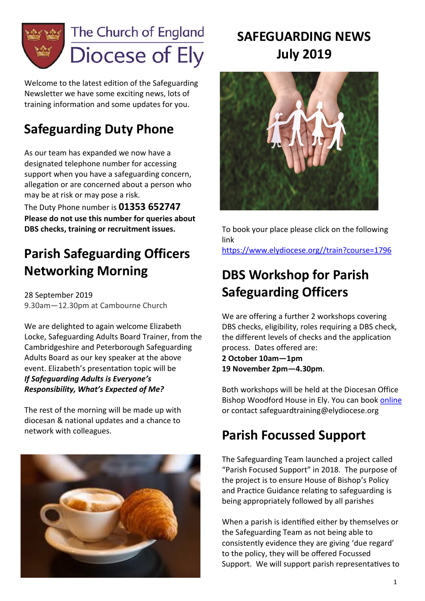

Welcome to the latest edition of the Safeguarding Newsletter we have some exciting news, lots of training information and some updates for you.

# **Safeguarding Duty Phone**

As our team has expanded we now have a designated telephone number for accessing support when you have a safeguarding concern, allegation or are concerned about a person who may be at risk or may pose a risk.

The Duty Phone number is **01353 652747 Please do not use this number for queries about DBS checks, training or recruitment issues.**

# **Parish Safeguarding Officers Networking Morning**

28 September 2019 9.30am—12.30pm at Cambourne Church

We are delighted to again welcome Elizabeth Locke, Safeguarding Adults Board Trainer, from the Cambridgeshire and Peterborough Safeguarding Adults Board as our key speaker at the above event. Elizabeth's presentation topic will be *If Safeguarding Adults is Everyone's Responsibility, What's Expected of Me?* 

The rest of the morning will be made up with diocesan & national updates and a chance to network with colleagues.



# **SAFEGUARDING NEWS July 2019**



To book your place please click on the following link [https://www.elydiocese.org//train?course=1796](https://www.elydiocese.org/train?course=1796)

# **DBS Workshop for Parish Safeguarding Officers**

We are offering a further 2 workshops covering DBS checks, eligibility, roles requiring a DBS check, the different levels of checks and the application process. Dates offered are:

**2 October 10am—1pm 19 November 2pm—4.30pm**.

Both workshops will be held at the Diocesan Office Bishop Woodford House in Ely. You can book [online](https://elydatabase.org/events/safeguarding) or contact safeguardtraining@elydiocese.org

# **Parish Focussed Support**

The Safeguarding Team launched a project called "Parish Focused Support" in 2018. The purpose of the project is to ensure House of Bishop's Policy and Practice Guidance relating to safeguarding is being appropriately followed by all parishes

When a parish is identified either by themselves or the Safeguarding Team as not being able to consistently evidence they are giving 'due regard' to the policy, they will be offered Focussed Support. We will support parish representatives to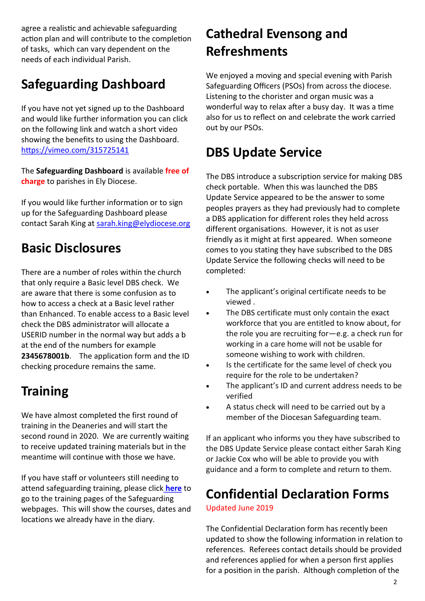agree a realistic and achievable safeguarding action plan and will contribute to the completion of tasks, which can vary dependent on the needs of each individual Parish.

# **Safeguarding Dashboard**

If you have not yet signed up to the Dashboard and would like further information you can click on the following link and watch a short video showing the benefits to using the Dashboard. [https://vimeo.com/315725141](https://emea01.safelinks.protection.outlook.com/?url=https%3A%2F%2Fvimeo.com%2F315725141&data=02%7C01%7Csarah.king%40elydiocese.org%7Cf43997cdccae4304d00208d69d79a5f3%7C8cefe2afc6f544c4bbc3849ef05aafca%7C0%7C1%7C636869543875633581&sdata=FgHHJJCLGktayIU6WdtrUs)

The **Safeguarding Dashboard** is available **free of charge** to parishes in Ely Diocese.

If you would like further information or to sign up for the Safeguarding Dashboard please contact Sarah King at [sarah.king@elydiocese.org](mailto:sarah.king@elydiocese.org)

# **Basic Disclosures**

There are a number of roles within the church that only require a Basic level DBS check. We are aware that there is some confusion as to how to access a check at a Basic level rather than Enhanced. To enable access to a Basic level check the DBS administrator will allocate a USERID number in the normal way but adds a b at the end of the numbers for example **2345678001b**. The application form and the ID checking procedure remains the same.

## **Training**

We have almost completed the first round of training in the Deaneries and will start the second round in 2020. We are currently waiting to receive updated training materials but in the meantime will continue with those we have.

If you have staff or volunteers still needing to attend safeguarding training, please click **[here](https://www.elydiocese.org/safeguarding/safeguarding-training-diocese-ely)** to go to the training pages of the Safeguarding webpages. This will show the courses, dates and locations we already have in the diary.

# **Cathedral Evensong and Refreshments**

We enjoyed a moving and special evening with Parish Safeguarding Officers (PSOs) from across the diocese. Listening to the chorister and organ music was a wonderful way to relax after a busy day. It was a time also for us to reflect on and celebrate the work carried out by our PSOs.

# **DBS Update Service**

The DBS introduce a subscription service for making DBS check portable. When this was launched the DBS Update Service appeared to be the answer to some peoples prayers as they had previously had to complete a DBS application for different roles they held across different organisations. However, it is not as user friendly as it might at first appeared. When someone comes to you stating they have subscribed to the DBS Update Service the following checks will need to be completed:

- The applicant's original certificate needs to be viewed .
- The DBS certificate must only contain the exact workforce that you are entitled to know about, for the role you are recruiting for—e.g. a check run for working in a care home will not be usable for someone wishing to work with children.
- Is the certificate for the same level of check you require for the role to be undertaken?
- The applicant's ID and current address needs to be verified
- A status check will need to be carried out by a member of the Diocesan Safeguarding team.

If an applicant who informs you they have subscribed to the DBS Update Service please contact either Sarah King or Jackie Cox who will be able to provide you with guidance and a form to complete and return to them.

## **Confidential Declaration Forms**

Updated June 2019

The Confidential Declaration form has recently been updated to show the following information in relation to references. Referees contact details should be provided and references applied for when a person first applies for a position in the parish. Although completion of the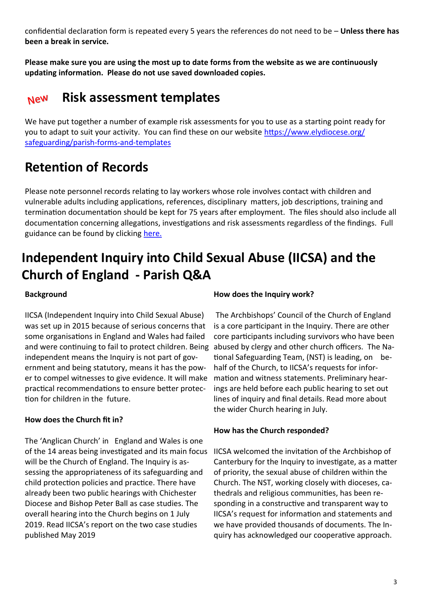confidential declaration form is repeated every 5 years the references do not need to be – **Unless there has been a break in service.** 

**Please make sure you are using the most up to date forms from the website as we are continuously updating information. Please do not use saved downloaded copies.** 

#### **Risk assessment templates New**

We have put together a number of example risk assessments for you to use as a starting point ready for you to adapt to suit your activity. You can find these on our website [https://www.elydiocese.org/](https://www.elydiocese.org/safeguarding/parish-forms-and-templates) [safeguarding/parish](https://www.elydiocese.org/safeguarding/parish-forms-and-templates)-forms-and-templates

## **Retention of Records**

Please note personnel records relating to lay workers whose role involves contact with children and vulnerable adults including applications, references, disciplinary matters, job descriptions, training and termination documentation should be kept for 75 years after employment. The files should also include all documentation concerning allegations, investigations and risk assessments regardless of the findings. Full guidance can be found by clicking [here.](https://www.elydiocese.org/application/files/3915/1696/4843/Safeguarding_Records_Retention_Toolkit_2016.pdf)

# **Independent Inquiry into Child Sexual Abuse (IICSA) and the Church of England - Parish Q&A**

#### **Background**

IICSA (Independent Inquiry into Child Sexual Abuse) was set up in 2015 because of serious concerns that some organisations in England and Wales had failed and were continuing to fail to protect children. Being abused by clergy and other church officers. The Naindependent means the Inquiry is not part of government and being statutory, means it has the power to compel witnesses to give evidence. It will make practical recommendations to ensure better protection for children in the future.

#### **How does the Church fit in?**

The 'Anglican Church' in England and Wales is one of the 14 areas being investigated and its main focus will be the Church of England. The Inquiry is assessing the appropriateness of its safeguarding and child protection policies and practice. There have already been two public hearings with Chichester Diocese and Bishop Peter Ball as case studies. The overall hearing into the Church begins on 1 July 2019. Read IICSA's report on the two case studies published May 2019

#### **How does the Inquiry work?**

The Archbishops' Council of the Church of England is a core participant in the Inquiry. There are other core participants including survivors who have been tional Safeguarding Team, (NST) is leading, on behalf of the Church, to IICSA's requests for information and witness statements. Preliminary hearings are held before each public hearing to set out lines of inquiry and final details. Read more about the wider Church hearing in July.

#### **How has the Church responded?**

IICSA welcomed the invitation of the Archbishop of Canterbury for the Inquiry to investigate, as a matter of priority, the sexual abuse of children within the Church. The NST, working closely with dioceses, cathedrals and religious communities, has been responding in a constructive and transparent way to IICSA's request for information and statements and we have provided thousands of documents. The Inquiry has acknowledged our cooperative approach.